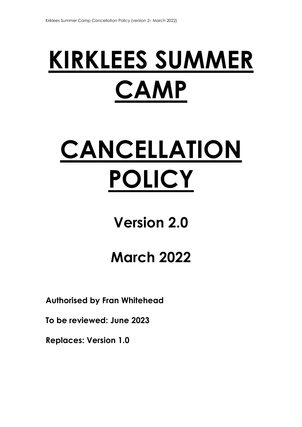# **KIRKLEES SUMMER CAMP**

# **CANCELLATION POLICY**

## **Version 2.0**

# **March 2022**

**Authorised by Fran Whitehead** 

**To be reviewed: June 2023** 

**Replaces: Version 1.0**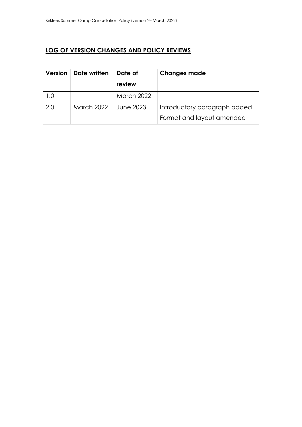## **LOG OF VERSION CHANGES AND POLICY REVIEWS**

| <b>Version</b> | Date written      | Date of           | <b>Changes made</b>          |
|----------------|-------------------|-------------------|------------------------------|
|                |                   | review            |                              |
|                |                   | <b>March 2022</b> |                              |
| 2.0            | <b>March 2022</b> | June 2023         | Introductory paragraph added |
|                |                   |                   | Format and layout amended    |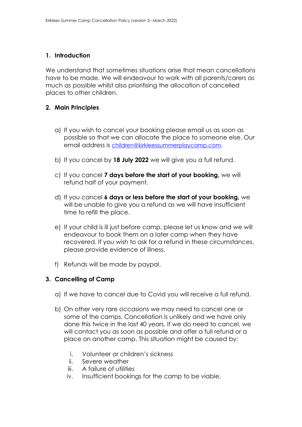### **1. Introduction**

We understand that sometimes situations arise that mean cancellations have to be made. We will endeavour to work with all parents/carers as much as possible whilst also prioritising the allocation of cancelled places to other children.

### **2. Main Principles**

- a) If you wish to cancel your booking please email us as soon as possible so that we can allocate the place to someone else. Our email address is [children@kirkleessummerplaycamp.com.](mailto:children@kirkleessummerplaycamp.com)
- b) If you cancel by **18 July 2022** we will give you a full refund.
- c) If you cancel **7 days before the start of your booking,** we will refund half of your payment.
- d) If you cancel **6 days or less before the start of your booking,** we will be unable to give you a refund as we will have insufficient time to refill the place.
- e) If your child is ill just before camp, please let us know and we will endeavour to book them on a later camp when they have recovered. If you wish to ask for a refund in these circumstances, please provide evidence of illness.
- f) Refunds will be made by paypal.

### **3. Cancelling of Camp**

- a) If we have to cancel due to Covid you will receive a full refund.
- b) On other very rare occasions we may need to cancel one or some of the camps. Cancellation is unlikely and we have only done this twice in the last 40 years. If we do need to cancel, we will contact you as soon as possible and offer a full refund or a place on another camp. This situation might be caused by:
	- i. Volunteer or children's sickness
	- ii. Severe weather
	- iii. A failure of utilities
	- iv. Insufficient bookings for the camp to be viable.